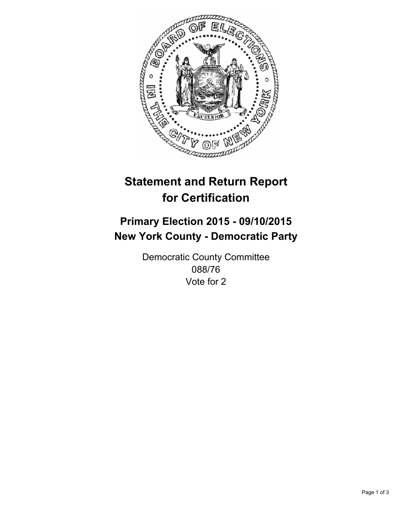

# **Statement and Return Report for Certification**

## **Primary Election 2015 - 09/10/2015 New York County - Democratic Party**

Democratic County Committee 088/76 Vote for 2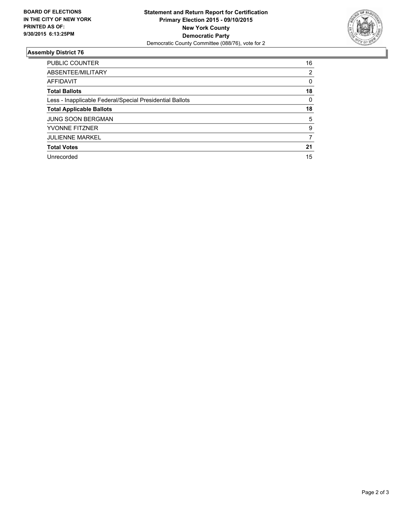

#### **Assembly District 76**

| <b>PUBLIC COUNTER</b>                                    | 16 |
|----------------------------------------------------------|----|
| ABSENTEE/MILITARY                                        | 2  |
| AFFIDAVIT                                                | 0  |
| <b>Total Ballots</b>                                     | 18 |
| Less - Inapplicable Federal/Special Presidential Ballots | 0  |
| <b>Total Applicable Ballots</b>                          | 18 |
| <b>JUNG SOON BERGMAN</b>                                 | 5  |
| <b>YVONNE FITZNER</b>                                    | 9  |
| <b>JULIENNE MARKEL</b>                                   | 7  |
| <b>Total Votes</b>                                       | 21 |
| Unrecorded                                               | 15 |